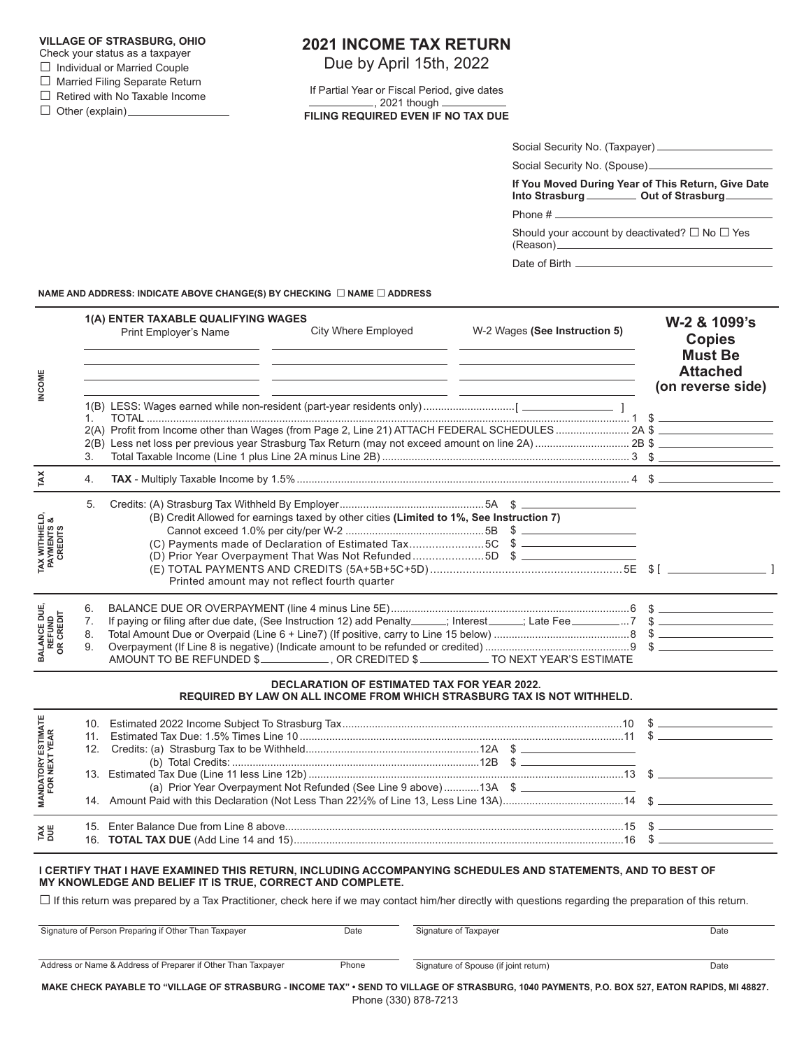## **VILLAGE OF STRASBURG, OHIO**

- Check your status as a taxpayer
- □ Individual or Married Couple
- □ Married Filing Separate Return

□ Retired with No Taxable Income

□ Other (explain)

## **2021 INCOME TAX RETURN**

Due by April 15th, 2022

If Partial Year or Fiscal Period, give dates , 2021 though **FILING REQUIRED EVEN IF NO TAX DUE**

| Social Security No. (Taxpayer) |  |
|--------------------------------|--|
| Social Security No. (Spouse)_  |  |

**If You Moved During Year of This Return, Give Date** Into Strasburg **Out of Strasburg** 

Phone #

Should your account by deactivated?  $\square$  No  $\square$  Yes (Reason)

Date of Birth

**NAME AND ADDRESS: INDICATE ABOVE CHANGE(S) BY CHECKING** □ **NAME** □ **ADDRESS**

| <b>INCOME</b>                                       |                      | 1(A) ENTER TAXABLE QUALIFYING WAGES<br>Print Employer's Name | City Where Employed<br><u> 1989 - Andrea Santa Andrea Andrea Andrea Andrea Andrea Andrea Andrea Andrea Andrea Andrea Andrea Andrea Andr</u><br><u> 1990 - Andrea Angel, Amerikaansk politiker (* 1900)</u>                                                                      | W-2 Wages (See Instruction 5)                                                             |  | W-2 & 1099's<br><b>Copies</b><br><b>Must Be</b><br><b>Attached</b><br>(on reverse side) |
|-----------------------------------------------------|----------------------|--------------------------------------------------------------|---------------------------------------------------------------------------------------------------------------------------------------------------------------------------------------------------------------------------------------------------------------------------------|-------------------------------------------------------------------------------------------|--|-----------------------------------------------------------------------------------------|
|                                                     | 1<br>3.              |                                                              |                                                                                                                                                                                                                                                                                 | the control of the control of the control of the control of the control of the control of |  |                                                                                         |
| ĩĂ                                                  | 4.                   |                                                              |                                                                                                                                                                                                                                                                                 |                                                                                           |  |                                                                                         |
| <b>TAX WITHHELD,<br/>PAYMENTS &amp;<br/>CREDITS</b> | 5.                   |                                                              | (B) Credit Allowed for earnings taxed by other cities (Limited to 1%, See Instruction 7)<br>(C) Payments made of Declaration of Estimated Tax5C \$<br>(D) Prior Year Overpayment That Was Not Refunded5D \$<br>Printed amount may not reflect fourth quarter                    |                                                                                           |  |                                                                                         |
| <b>BALANCE DUE,<br/>REFUND<br/>OR CREDIT</b>        | 6.<br>7.<br>8.<br>9. |                                                              | AMOUNT TO BE REFUNDED \$ ______________, OR CREDITED \$ ____________ TO NEXT YEAR'S ESTIMATE                                                                                                                                                                                    |                                                                                           |  |                                                                                         |
|                                                     |                      |                                                              | <b>DECLARATION OF ESTIMATED TAX FOR YEAR 2022.</b><br>REQUIRED BY LAW ON ALL INCOME FROM WHICH STRASBURG TAX IS NOT WITHHELD.                                                                                                                                                   |                                                                                           |  |                                                                                         |
| <b>MANDATORY ESTIMATE<br/>FOR NEXT YEAR</b>         |                      |                                                              |                                                                                                                                                                                                                                                                                 |                                                                                           |  |                                                                                         |
|                                                     |                      |                                                              | (a) Prior Year Overpayment Not Refunded (See Line 9 above)13A \$ __________________________________<br>14. Amount Paid with this Declaration (Not Less Than 22½% of Line 13, Less Line 13A)                                                                                     |                                                                                           |  |                                                                                         |
| <b>TAX</b><br>DUE                                   |                      |                                                              |                                                                                                                                                                                                                                                                                 |                                                                                           |  |                                                                                         |
|                                                     |                      | MY KNOWLEDGE AND BELIEF IT IS TRUE, CORRECT AND COMPLETE.    | I CERTIFY THAT I HAVE EXAMINED THIS RETURN, INCLUDING ACCOMPANYING SCHEDULES AND STATEMENTS, AND TO BEST OF<br>$\Box$ If this return was prepared by a Tax Practitioner, check here if we may contact him/her directly with questions regarding the preparation of this return. |                                                                                           |  |                                                                                         |

| Signature of Person Preparing if Other Than Taxpayer                                                                                   | Date  | Signature of Taxpayer                 | Date |
|----------------------------------------------------------------------------------------------------------------------------------------|-------|---------------------------------------|------|
| Address or Name & Address of Preparer if Other Than Taxpayer                                                                           | Phone | Signature of Spouse (if joint return) | Date |
| MAKE CUECK DAVADI E TO "VILLACE OF STOASDUDG" INCOME TAV" - SEND TO VILLACE OF STOASDUDG HAJA DAVMENTS DO DOV 527 EATON DADIDS MLJ0027 |       |                                       |      |

**MAKE CHECK PAYABLE TO "VILLAGE OF STRASBURG - INCOME TAX" • SEND TO VILLAGE OF STRASBURG, 1040 PAYMENTS, P.O. BOX 527, EATON RAPIDS, MI 48827.** Phone (330) 878-7213